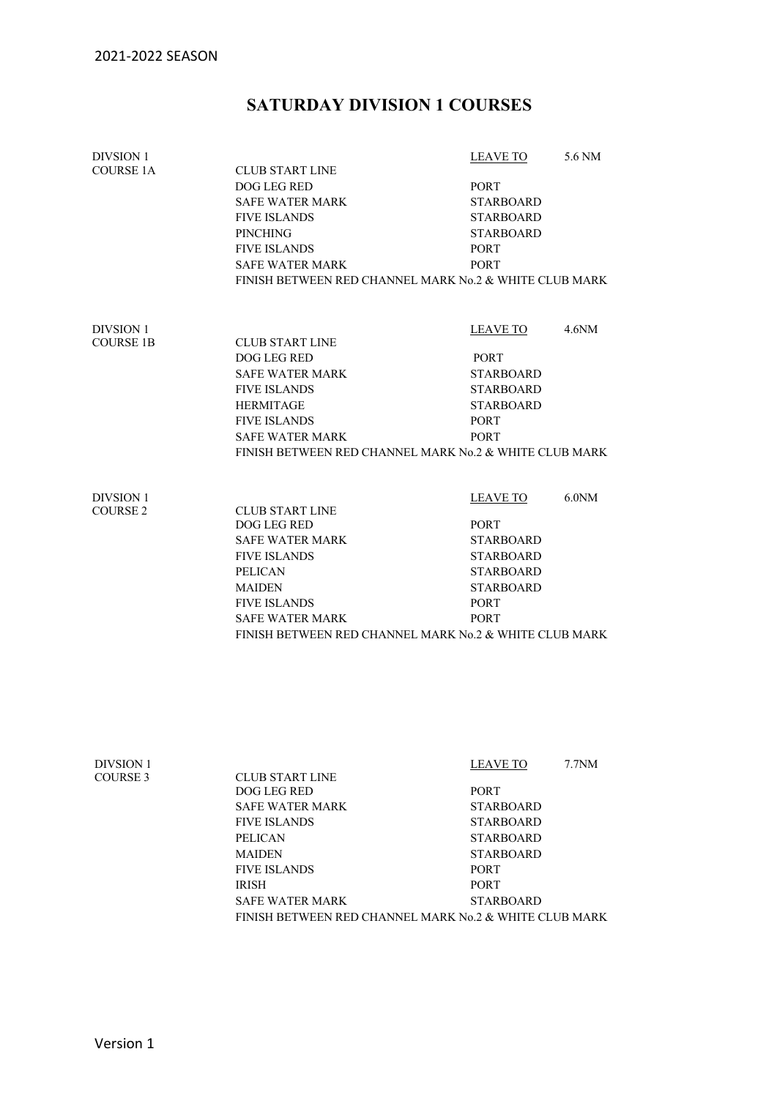## **SATURDAY DIVISION 1 COURSES**

| <b>DIVSION 1</b> |                                                        | <b>LEAVE TO</b>  | 5.6 NM             |  |  |
|------------------|--------------------------------------------------------|------------------|--------------------|--|--|
| <b>COURSE 1A</b> | <b>CLUB START LINE</b>                                 |                  |                    |  |  |
|                  | DOG LEG RED                                            | <b>PORT</b>      |                    |  |  |
|                  | <b>SAFE WATER MARK</b>                                 | <b>STARBOARD</b> |                    |  |  |
|                  | <b>FIVE ISLANDS</b>                                    | <b>STARBOARD</b> |                    |  |  |
|                  | <b>PINCHING</b>                                        | <b>STARBOARD</b> |                    |  |  |
|                  | <b>FIVE ISLANDS</b>                                    | <b>PORT</b>      |                    |  |  |
|                  | <b>SAFE WATER MARK</b>                                 | <b>PORT</b>      |                    |  |  |
|                  | FINISH BETWEEN RED CHANNEL MARK No.2 & WHITE CLUB MARK |                  |                    |  |  |
| <b>DIVSION 1</b> |                                                        | <b>LEAVE TO</b>  | 4.6 <sub>N</sub> M |  |  |
| <b>COURSE 1B</b> | <b>CLUB START LINE</b>                                 |                  |                    |  |  |
|                  | DOG LEG RED                                            | PORT             |                    |  |  |
|                  | <b>SAFE WATER MARK</b>                                 | <b>STARBOARD</b> |                    |  |  |
|                  | <b>FIVE ISLANDS</b>                                    | <b>STARBOARD</b> |                    |  |  |
|                  | <b>HERMITAGE</b>                                       | <b>STARBOARD</b> |                    |  |  |
|                  | <b>FIVE ISLANDS</b>                                    | <b>PORT</b>      |                    |  |  |
|                  | <b>SAFE WATER MARK</b>                                 | <b>PORT</b>      |                    |  |  |
|                  | FINISH BETWEEN RED CHANNEL MARK No.2 & WHITE CLUB MARK |                  |                    |  |  |
| <b>DIVSION 1</b> |                                                        | <b>LEAVE TO</b>  | 6.0 <sub>N</sub>   |  |  |
| <b>COURSE 2</b>  | <b>CLUB START LINE</b><br>DOG LEG RED                  | <b>PORT</b>      |                    |  |  |
|                  | <b>SAFE WATER MARK</b>                                 | <b>STARBOARD</b> |                    |  |  |
|                  | <b>FIVE ISLANDS</b>                                    | <b>STARBOARD</b> |                    |  |  |
|                  | <b>PELICAN</b>                                         | <b>STARBOARD</b> |                    |  |  |
|                  | <b>MAIDEN</b>                                          | <b>STARBOARD</b> |                    |  |  |
|                  | <b>FIVE ISLANDS</b>                                    | <b>PORT</b>      |                    |  |  |
|                  | <b>SAFE WATER MARK</b>                                 | <b>PORT</b>      |                    |  |  |
|                  | FINISH BETWEEN RED CHANNEL MARK No.2 & WHITE CLUB MARK |                  |                    |  |  |
|                  |                                                        |                  |                    |  |  |

| <b>DIVSION 1</b> |                                                        | $7.7N$ M<br><b>LEAVE TO</b> |  |
|------------------|--------------------------------------------------------|-----------------------------|--|
| COURSE 3         | <b>CLUB START LINE</b>                                 |                             |  |
|                  | DOG LEG RED                                            | <b>PORT</b>                 |  |
|                  | <b>SAFE WATER MARK</b>                                 | <b>STARBOARD</b>            |  |
|                  | <b>FIVE ISLANDS</b>                                    | STARBOARD                   |  |
|                  | <b>PELICAN</b>                                         | <b>STARBOARD</b>            |  |
|                  | <b>MAIDEN</b>                                          | <b>STARBOARD</b>            |  |
|                  | <b>FIVE ISLANDS</b>                                    | <b>PORT</b>                 |  |
|                  | <b>IRISH</b>                                           | <b>PORT</b>                 |  |
|                  | <b>SAFE WATER MARK</b>                                 | <b>STARBOARD</b>            |  |
|                  | FINISH BETWEEN RED CHANNEL MARK No.2 & WHITE CLUB MARK |                             |  |
|                  |                                                        |                             |  |